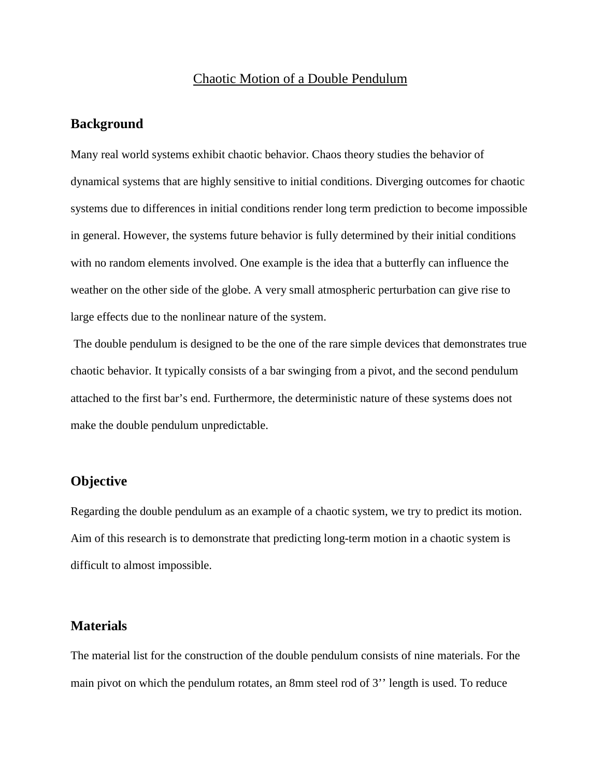### Chaotic Motion of a Double Pendulum

#### **Background**

Many real world systems exhibit chaotic behavior. Chaos theory studies the behavior of dynamical systems that are highly sensitive to initial conditions. Diverging outcomes for chaotic systems due to differences in initial conditions render long term prediction to become impossible in general. However, the systems future behavior is fully determined by their initial conditions with no random elements involved. One example is the idea that a butterfly can influence the weather on the other side of the globe. A very small atmospheric perturbation can give rise to large effects due to the nonlinear nature of the system.

The double pendulum is designed to be the one of the rare simple devices that demonstrates true chaotic behavior. It typically consists of a bar swinging from a pivot, and the second pendulum attached to the first bar's end. Furthermore, the deterministic nature of these systems does not make the double pendulum unpredictable.

### **Objective**

Regarding the double pendulum as an example of a chaotic system, we try to predict its motion. Aim of this research is to demonstrate that predicting long-term motion in a chaotic system is difficult to almost impossible.

### **Materials**

The material list for the construction of the double pendulum consists of nine materials. For the main pivot on which the pendulum rotates, an 8mm steel rod of 3'' length is used. To reduce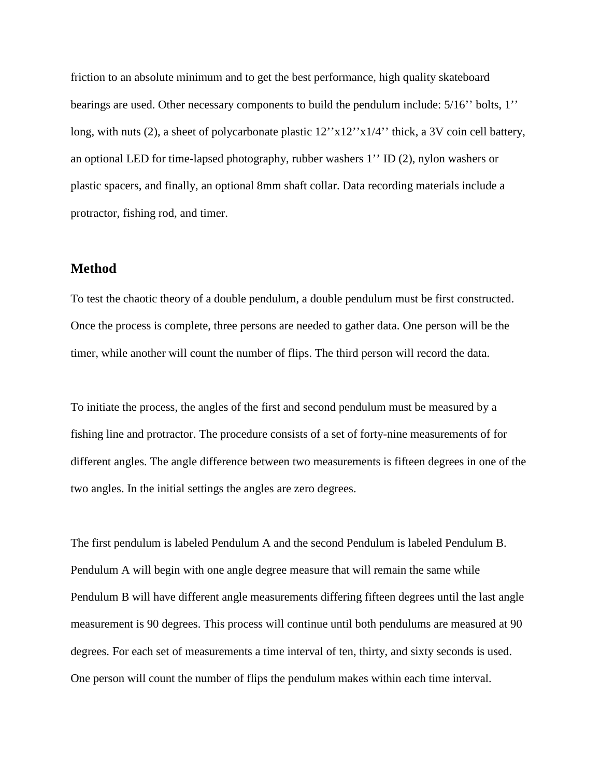friction to an absolute minimum and to get the best performance, high quality skateboard bearings are used. Other necessary components to build the pendulum include: 5/16'' bolts, 1'' long, with nuts (2), a sheet of polycarbonate plastic  $12''x12''x1/4''$  thick, a 3V coin cell battery, an optional LED for time-lapsed photography, rubber washers 1'' ID (2), nylon washers or plastic spacers, and finally, an optional 8mm shaft collar. Data recording materials include a protractor, fishing rod, and timer.

### **Method**

To test the chaotic theory of a double pendulum, a double pendulum must be first constructed. Once the process is complete, three persons are needed to gather data. One person will be the timer, while another will count the number of flips. The third person will record the data.

To initiate the process, the angles of the first and second pendulum must be measured by a fishing line and protractor. The procedure consists of a set of forty-nine measurements of for different angles. The angle difference between two measurements is fifteen degrees in one of the two angles. In the initial settings the angles are zero degrees.

The first pendulum is labeled Pendulum A and the second Pendulum is labeled Pendulum B. Pendulum A will begin with one angle degree measure that will remain the same while Pendulum B will have different angle measurements differing fifteen degrees until the last angle measurement is 90 degrees. This process will continue until both pendulums are measured at 90 degrees. For each set of measurements a time interval of ten, thirty, and sixty seconds is used. One person will count the number of flips the pendulum makes within each time interval.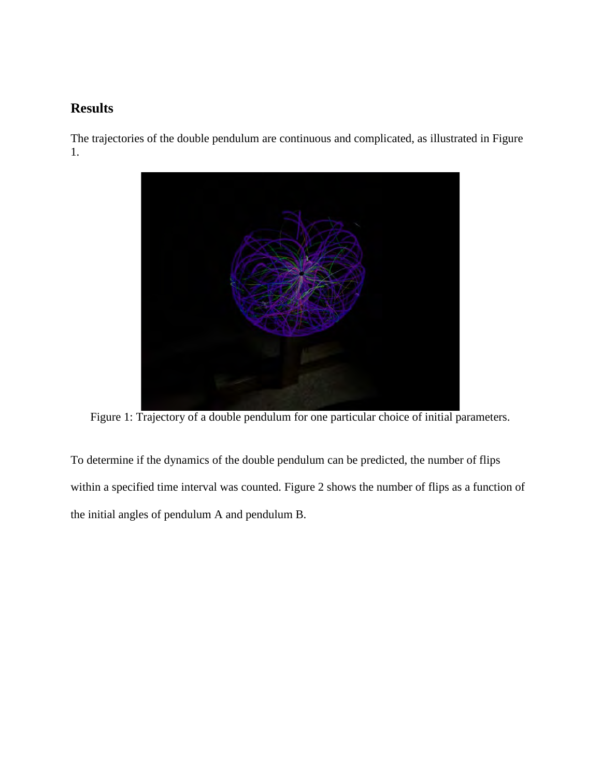### **Results**

The trajectories of the double pendulum are continuous and complicated, as illustrated in Figure 1.



Figure 1: Trajectory of a double pendulum for one particular choice of initial parameters.

To determine if the dynamics of the double pendulum can be predicted, the number of flips within a specified time interval was counted. Figure 2 shows the number of flips as a function of the initial angles of pendulum A and pendulum B.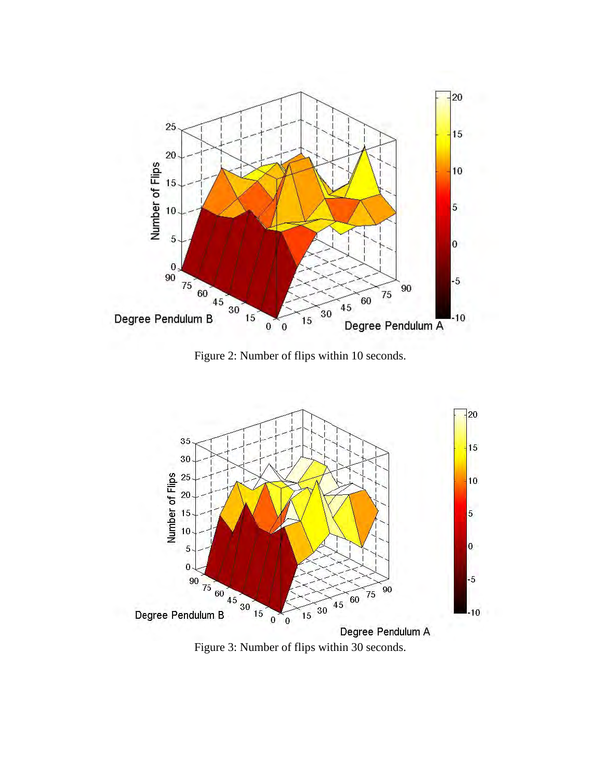

Figure 2: Number of flips within 10 seconds.



Figure 3: Number of flips within 30 seconds.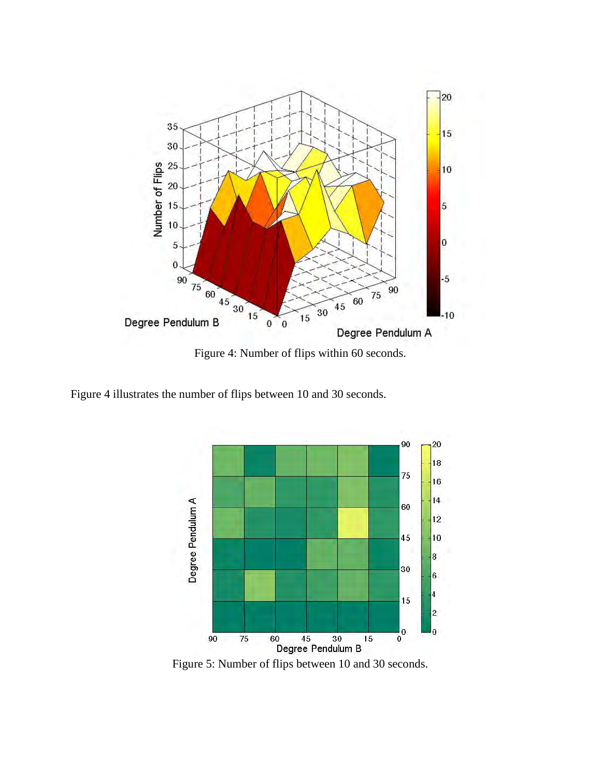

Figure 4: Number of flips within 60 seconds.

Figure 4 illustrates the number of flips between 10 and 30 seconds.



Figure 5: Number of flips between 10 and 30 seconds.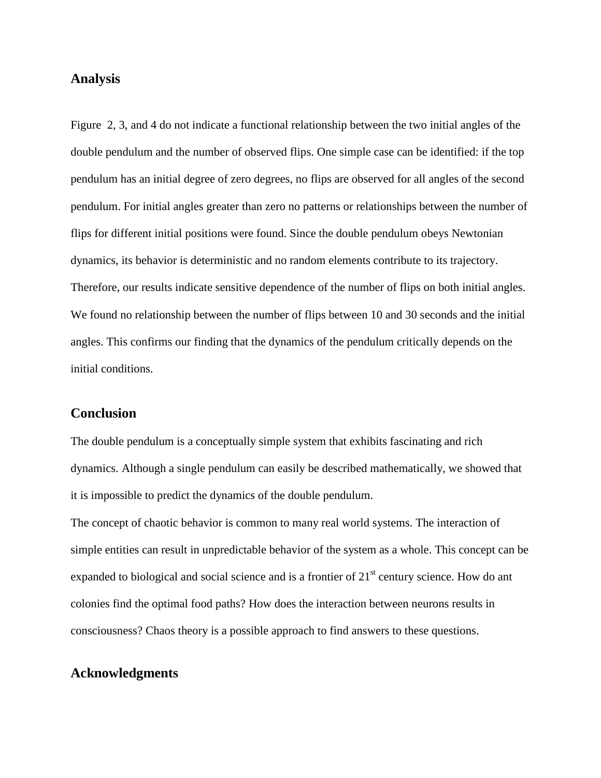### **Analysis**

Figure 2, 3, and 4 do not indicate a functional relationship between the two initial angles of the double pendulum and the number of observed flips. One simple case can be identified: if the top pendulum has an initial degree of zero degrees, no flips are observed for all angles of the second pendulum. For initial angles greater than zero no patterns or relationships between the number of flips for different initial positions were found. Since the double pendulum obeys Newtonian dynamics, its behavior is deterministic and no random elements contribute to its trajectory. Therefore, our results indicate sensitive dependence of the number of flips on both initial angles. We found no relationship between the number of flips between 10 and 30 seconds and the initial angles. This confirms our finding that the dynamics of the pendulum critically depends on the initial conditions.

#### **Conclusion**

The double pendulum is a conceptually simple system that exhibits fascinating and rich dynamics. Although a single pendulum can easily be described mathematically, we showed that it is impossible to predict the dynamics of the double pendulum.

The concept of chaotic behavior is common to many real world systems. The interaction of simple entities can result in unpredictable behavior of the system as a whole. This concept can be expanded to biological and social science and is a frontier of  $21<sup>st</sup>$  century science. How do ant colonies find the optimal food paths? How does the interaction between neurons results in consciousness? Chaos theory is a possible approach to find answers to these questions.

### **Acknowledgments**